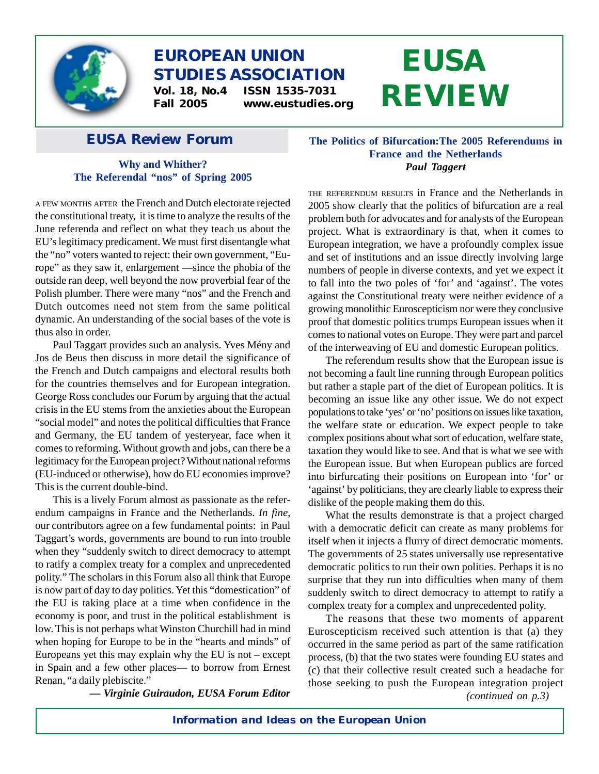

# **EUROPEAN UNION STUDIES ASSOCIATION**

**Vol. 18, No.4 ISSN 1535-7031 Fall 2005 www.eustudies.org**

# *EUSA Review* **Forum**

# **Why and Whither? The Referendal "nos" of Spring 2005**

A FEW MONTHS AFTER the French and Dutch electorate rejected the constitutional treaty, it is time to analyze the results of the June referenda and reflect on what they teach us about the EU's legitimacy predicament. We must first disentangle what the "no" voters wanted to reject: their own government, "Europe" as they saw it, enlargement —since the phobia of the outside ran deep, well beyond the now proverbial fear of the Polish plumber. There were many "nos" and the French and Dutch outcomes need not stem from the same political dynamic. An understanding of the social bases of the vote is thus also in order.

Paul Taggart provides such an analysis. Yves Mény and Jos de Beus then discuss in more detail the significance of the French and Dutch campaigns and electoral results both for the countries themselves and for European integration. George Ross concludes our Forum by arguing that the actual crisis in the EU stems from the anxieties about the European "social model" and notes the political difficulties that France and Germany, the EU tandem of yesteryear, face when it comes to reforming. Without growth and jobs, can there be a legitimacy for the European project? Without national reforms (EU-induced or otherwise), how do EU economies improve? This is the current double-bind.

This is a lively Forum almost as passionate as the referendum campaigns in France and the Netherlands. *In fine*, our contributors agree on a few fundamental points: in Paul Taggart's words, governments are bound to run into trouble when they "suddenly switch to direct democracy to attempt to ratify a complex treaty for a complex and unprecedented polity." The scholars in this Forum also all think that Europe is now part of day to day politics. Yet this "domestication" of the EU is taking place at a time when confidence in the economy is poor, and trust in the political establishment is low. This is not perhaps what Winston Churchill had in mind when hoping for Europe to be in the "hearts and minds" of Europeans yet this may explain why the EU is not – except in Spain and a few other places— to borrow from Ernest Renan, "a daily plebiscite."

*— Virginie Guiraudon, EUSA Forum Editor*

# **The Politics of Bifurcation:The 2005 Referendums in France and the Netherlands** *Paul Taggert*

**EUSA**

**REVIEW**

THE REFERENDUM RESULTS in France and the Netherlands in 2005 show clearly that the politics of bifurcation are a real problem both for advocates and for analysts of the European project. What is extraordinary is that, when it comes to European integration, we have a profoundly complex issue and set of institutions and an issue directly involving large numbers of people in diverse contexts, and yet we expect it to fall into the two poles of 'for' and 'against'. The votes against the Constitutional treaty were neither evidence of a growing monolithic Euroscepticism nor were they conclusive proof that domestic politics trumps European issues when it comes to national votes on Europe. They were part and parcel of the interweaving of EU and domestic European politics.

The referendum results show that the European issue is not becoming a fault line running through European politics but rather a staple part of the diet of European politics. It is becoming an issue like any other issue. We do not expect populations to take 'yes' or 'no' positions on issues like taxation, the welfare state or education. We expect people to take complex positions about what sort of education, welfare state, taxation they would like to see. And that is what we see with the European issue. But when European publics are forced into birfurcating their positions on European into 'for' or 'against' by politicians, they are clearly liable to express their dislike of the people making them do this.

What the results demonstrate is that a project charged with a democratic deficit can create as many problems for itself when it injects a flurry of direct democratic moments. The governments of 25 states universally use representative democratic politics to run their own polities. Perhaps it is no surprise that they run into difficulties when many of them suddenly switch to direct democracy to attempt to ratify a complex treaty for a complex and unprecedented polity.

The reasons that these two moments of apparent Euroscepticism received such attention is that (a) they occurred in the same period as part of the same ratification process, (b) that the two states were founding EU states and (c) that their collective result created such a headache for those seeking to push the European integration project

*(continued on p.3)*

*Information and Ideas on the European Union*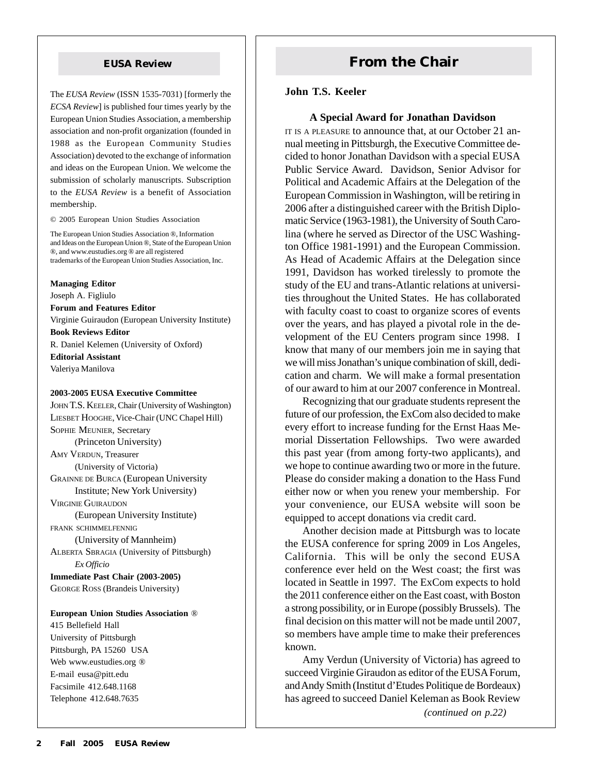The *EUSA Review* (ISSN 1535-7031) [formerly the *ECSA Review*] is published four times yearly by the European Union Studies Association, a membership association and non-profit organization (founded in 1988 as the European Community Studies Association) devoted to the exchange of information and ideas on the European Union. We welcome the submission of scholarly manuscripts. Subscription to the *EUSA Review* is a benefit of Association membership.

© 2005 European Union Studies Association

The European Union Studies Association ®, Information and Ideas on the European Union ®, State of the European Union ®, and www.eustudies.org ® are all registered trademarks of the European Union Studies Association, Inc.

**Managing Editor** Joseph A. Figliulo **Forum and Features Editor** Virginie Guiraudon (European University Institute) **Book Reviews Editor** R. Daniel Kelemen (University of Oxford) **Editorial Assistant** Valeriya Manilova

#### **2003-2005 EUSA Executive Committee**

JOHN T.S. KEELER, Chair (University of Washington) LIESBET HOOGHE, Vice-Chair (UNC Chapel Hill) SOPHIE MEUNIER, Secretary (Princeton University) AMY VERDUN, Treasurer (University of Victoria) GRAINNE DE BURCA (European University Institute; New York University) VIRGINIE GUIRAUDON (European University Institute) FRANK SCHIMMELFENNIG (University of Mannheim) ALBERTA SBRAGIA (University of Pittsburgh) *Ex Officio* **Immediate Past Chair (2003-2005)** GEORGE ROSS (Brandeis University) **European Union Studies Association** ®

415 Bellefield Hall University of Pittsburgh Pittsburgh, PA 15260 USA Web www.eustudies.org ® E-mail eusa@pitt.edu Facsimile 412.648.1168 Telephone 412.648.7635

# **EUSA Review <b>From the Chair**

#### **John T.S. Keeler**

#### **A Special Award for Jonathan Davidson**

IT IS A PLEASURE to announce that, at our October 21 annual meeting in Pittsburgh, the Executive Committee decided to honor Jonathan Davidson with a special EUSA Public Service Award. Davidson, Senior Advisor for Political and Academic Affairs at the Delegation of the European Commission in Washington, will be retiring in 2006 after a distinguished career with the British Diplomatic Service (1963-1981), the University of South Carolina (where he served as Director of the USC Washington Office 1981-1991) and the European Commission. As Head of Academic Affairs at the Delegation since 1991, Davidson has worked tirelessly to promote the study of the EU and trans-Atlantic relations at universities throughout the United States. He has collaborated with faculty coast to coast to organize scores of events over the years, and has played a pivotal role in the development of the EU Centers program since 1998. I know that many of our members join me in saying that we will miss Jonathan's unique combination of skill, dedication and charm. We will make a formal presentation of our award to him at our 2007 conference in Montreal.

Recognizing that our graduate students represent the future of our profession, the ExCom also decided to make every effort to increase funding for the Ernst Haas Memorial Dissertation Fellowships. Two were awarded this past year (from among forty-two applicants), and we hope to continue awarding two or more in the future. Please do consider making a donation to the Hass Fund either now or when you renew your membership. For your convenience, our EUSA website will soon be equipped to accept donations via credit card.

Another decision made at Pittsburgh was to locate the EUSA conference for spring 2009 in Los Angeles, California. This will be only the second EUSA conference ever held on the West coast; the first was located in Seattle in 1997. The ExCom expects to hold the 2011 conference either on the East coast, with Boston a strong possibility, or in Europe (possibly Brussels). The final decision on this matter will not be made until 2007, so members have ample time to make their preferences known.

Amy Verdun (University of Victoria) has agreed to succeed Virginie Giraudon as editor of the EUSA Forum, and Andy Smith (Institut d'Etudes Politique de Bordeaux) has agreed to succeed Daniel Keleman as Book Review

*(continued on p.22)*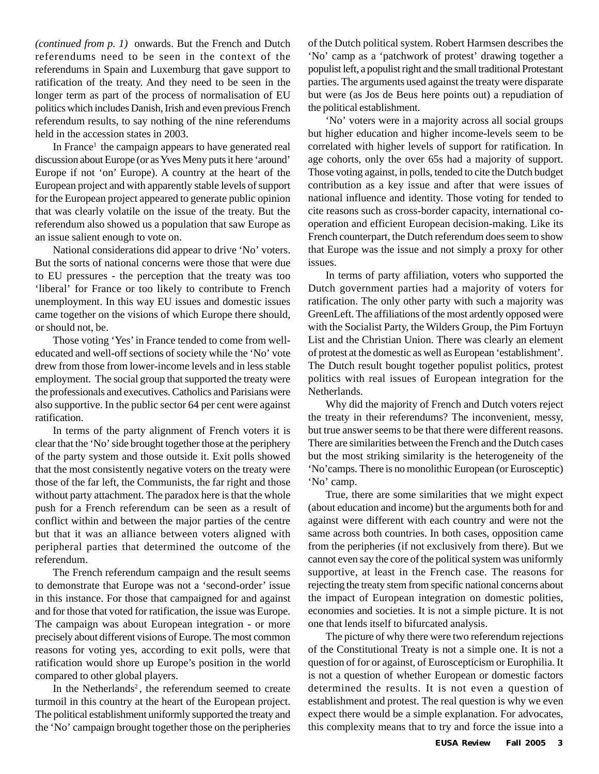*(continued from p. 1)* onwards. But the French and Dutch referendums need to be seen in the context of the referendums in Spain and Luxemburg that gave support to ratification of the treaty. And they need to be seen in the longer term as part of the process of normalisation of EU politics which includes Danish, Irish and even previous French referendum results, to say nothing of the nine referendums held in the accession states in 2003.

In France<sup>1</sup> the campaign appears to have generated real discussion about Europe (or as Yves Meny puts it here 'around' Europe if not 'on' Europe). A country at the heart of the European project and with apparently stable levels of support for the European project appeared to generate public opinion that was clearly volatile on the issue of the treaty. But the referendum also showed us a population that saw Europe as an issue salient enough to vote on.

National considerations did appear to drive 'No' voters. But the sorts of national concerns were those that were due to EU pressures - the perception that the treaty was too 'liberal' for France or too likely to contribute to French unemployment. In this way EU issues and domestic issues came together on the visions of which Europe there should, or should not, be.

Those voting 'Yes' in France tended to come from welleducated and well-off sections of society while the 'No' vote drew from those from lower-income levels and in less stable employment. The social group that supported the treaty were the professionals and executives. Catholics and Parisians were also supportive. In the public sector 64 per cent were against ratification.

In terms of the party alignment of French voters it is clear that the 'No' side brought together those at the periphery of the party system and those outside it. Exit polls showed that the most consistently negative voters on the treaty were those of the far left, the Communists, the far right and those without party attachment. The paradox here is that the whole push for a French referendum can be seen as a result of conflict within and between the major parties of the centre but that it was an alliance between voters aligned with peripheral parties that determined the outcome of the referendum.

The French referendum campaign and the result seems to demonstrate that Europe was not a 'second-order' issue in this instance. For those that campaigned for and against and for those that voted for ratification, the issue was Europe. The campaign was about European integration - or more precisely about different visions of Europe. The most common reasons for voting yes, according to exit polls, were that ratification would shore up Europe's position in the world compared to other global players.

In the Netherlands<sup>2</sup>, the referendum seemed to create turmoil in this country at the heart of the European project. The political establishment uniformly supported the treaty and the 'No' campaign brought together those on the peripheries of the Dutch political system. Robert Harmsen describes the 'No' camp as a 'patchwork of protest' drawing together a populist left, a populist right and the small traditional Protestant parties. The arguments used against the treaty were disparate but were (as Jos de Beus here points out) a repudiation of the political establishment.

'No' voters were in a majority across all social groups but higher education and higher income-levels seem to be correlated with higher levels of support for ratification. In age cohorts, only the over 65s had a majority of support. Those voting against, in polls, tended to cite the Dutch budget contribution as a key issue and after that were issues of national influence and identity. Those voting for tended to cite reasons such as cross-border capacity, international cooperation and efficient European decision-making. Like its French counterpart, the Dutch referendum does seem to show that Europe was the issue and not simply a proxy for other issues.

In terms of party affiliation, voters who supported the Dutch government parties had a majority of voters for ratification. The only other party with such a majority was GreenLeft. The affiliations of the most ardently opposed were with the Socialist Party, the Wilders Group, the Pim Fortuyn List and the Christian Union. There was clearly an element of protest at the domestic as well as European 'establishment'. The Dutch result bought together populist politics, protest politics with real issues of European integration for the Netherlands.

Why did the majority of French and Dutch voters reject the treaty in their referendums? The inconvenient, messy, but true answer seems to be that there were different reasons. There are similarities between the French and the Dutch cases but the most striking similarity is the heterogeneity of the 'No'camps. There is no monolithic European (or Eurosceptic) 'No' camp.

True, there are some similarities that we might expect (about education and income) but the arguments both for and against were different with each country and were not the same across both countries. In both cases, opposition came from the peripheries (if not exclusively from there). But we cannot even say the core of the political system was uniformly supportive, at least in the French case. The reasons for rejecting the treaty stem from specific national concerns about the impact of European integration on domestic polities, economies and societies. It is not a simple picture. It is not one that lends itself to bifurcated analysis.

The picture of why there were two referendum rejections of the Constitutional Treaty is not a simple one. It is not a question of for or against, of Euroscepticism or Europhilia. It is not a question of whether European or domestic factors determined the results. It is not even a question of establishment and protest. The real question is why we even expect there would be a simple explanation. For advocates, this complexity means that to try and force the issue into a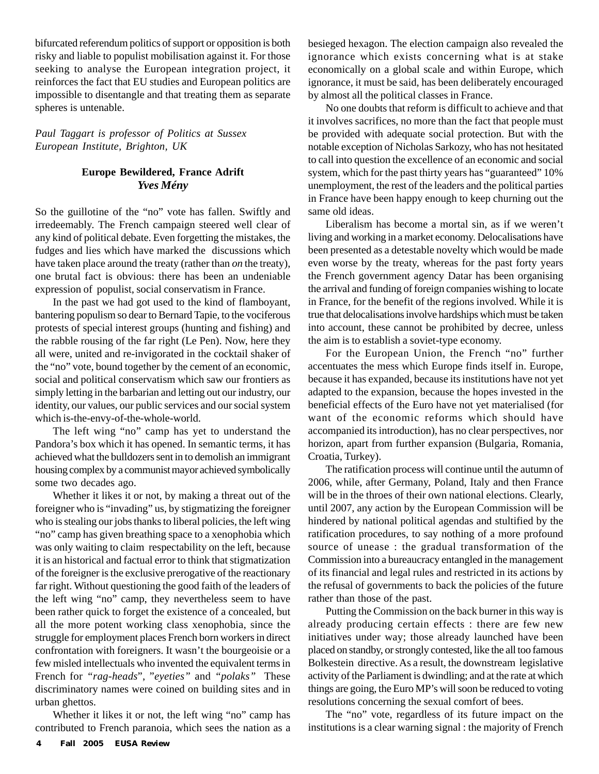bifurcated referendum politics of support or opposition is both risky and liable to populist mobilisation against it. For those seeking to analyse the European integration project, it reinforces the fact that EU studies and European politics are impossible to disentangle and that treating them as separate spheres is untenable.

*Paul Taggart is professor of Politics at Sussex European Institute, Brighton, UK*

# **Europe Bewildered, France Adrift** *Yves Mény*

So the guillotine of the "no" vote has fallen. Swiftly and irredeemably. The French campaign steered well clear of any kind of political debate. Even forgetting the mistakes, the fudges and lies which have marked the discussions which have taken place around the treaty (rather than *on* the treaty), one brutal fact is obvious: there has been an undeniable expression of populist, social conservatism in France.

In the past we had got used to the kind of flamboyant, bantering populism so dear to Bernard Tapie, to the vociferous protests of special interest groups (hunting and fishing) and the rabble rousing of the far right (Le Pen). Now, here they all were, united and re-invigorated in the cocktail shaker of the "no" vote, bound together by the cement of an economic, social and political conservatism which saw our frontiers as simply letting in the barbarian and letting out our industry, our identity, our values, our public services and our social system which is-the-envy-of-the-whole-world.

The left wing "no" camp has yet to understand the Pandora's box which it has opened. In semantic terms, it has achieved what the bulldozers sent in to demolish an immigrant housing complex by a communist mayor achieved symbolically some two decades ago.

Whether it likes it or not, by making a threat out of the foreigner who is "invading" us, by stigmatizing the foreigner who is stealing our jobs thanks to liberal policies, the left wing "no" camp has given breathing space to a xenophobia which was only waiting to claim respectability on the left, because it is an historical and factual error to think that stigmatization of the foreigner is the exclusive prerogative of the reactionary far right. Without questioning the good faith of the leaders of the left wing "no" camp, they nevertheless seem to have been rather quick to forget the existence of a concealed, but all the more potent working class xenophobia, since the struggle for employment places French born workers in direct confrontation with foreigners. It wasn't the bourgeoisie or a few misled intellectuals who invented the equivalent terms in French for *"rag-heads*", "*eyeties"* and *"polaks"* These discriminatory names were coined on building sites and in urban ghettos.

Whether it likes it or not, the left wing "no" camp has contributed to French paranoia, which sees the nation as a besieged hexagon. The election campaign also revealed the ignorance which exists concerning what is at stake economically on a global scale and within Europe, which ignorance, it must be said, has been deliberately encouraged by almost all the political classes in France.

No one doubts that reform is difficult to achieve and that it involves sacrifices, no more than the fact that people must be provided with adequate social protection. But with the notable exception of Nicholas Sarkozy, who has not hesitated to call into question the excellence of an economic and social system, which for the past thirty years has "guaranteed" 10% unemployment, the rest of the leaders and the political parties in France have been happy enough to keep churning out the same old ideas.

Liberalism has become a mortal sin, as if we weren't living and working in a market economy. Delocalisations have been presented as a detestable novelty which would be made even worse by the treaty, whereas for the past forty years the French government agency Datar has been organising the arrival and funding of foreign companies wishing to locate in France, for the benefit of the regions involved. While it is true that delocalisations involve hardships which must be taken into account, these cannot be prohibited by decree, unless the aim is to establish a soviet-type economy.

For the European Union, the French "no" further accentuates the mess which Europe finds itself in. Europe, because it has expanded, because its institutions have not yet adapted to the expansion, because the hopes invested in the beneficial effects of the Euro have not yet materialised (for want of the economic reforms which should have accompanied its introduction), has no clear perspectives, nor horizon, apart from further expansion (Bulgaria, Romania, Croatia, Turkey).

The ratification process will continue until the autumn of 2006, while, after Germany, Poland, Italy and then France will be in the throes of their own national elections. Clearly, until 2007, any action by the European Commission will be hindered by national political agendas and stultified by the ratification procedures, to say nothing of a more profound source of unease : the gradual transformation of the Commission into a bureaucracy entangled in the management of its financial and legal rules and restricted in its actions by the refusal of governments to back the policies of the future rather than those of the past.

Putting the Commission on the back burner in this way is already producing certain effects : there are few new initiatives under way; those already launched have been placed on standby, or strongly contested, like the all too famous Bolkestein directive. As a result, the downstream legislative activity of the Parliament is dwindling; and at the rate at which things are going, the Euro MP's will soon be reduced to voting resolutions concerning the sexual comfort of bees.

The "no" vote, regardless of its future impact on the institutions is a clear warning signal : the majority of French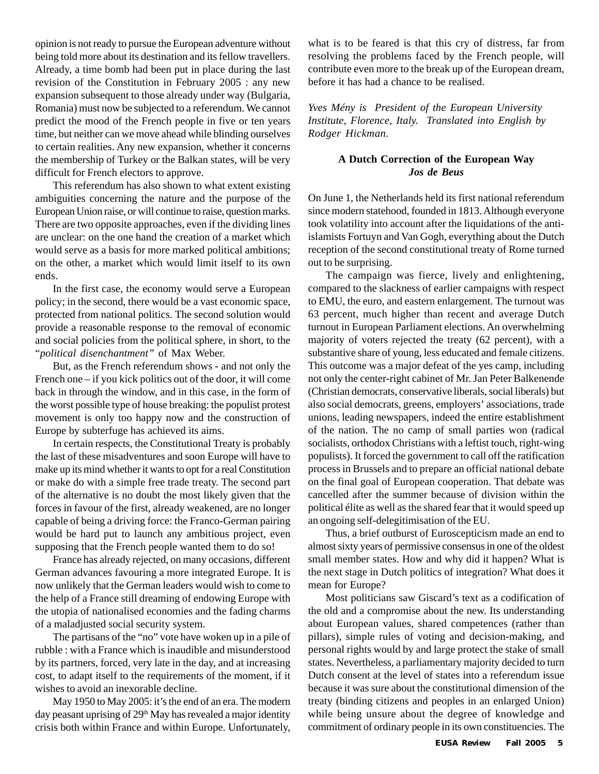opinion is not ready to pursue the European adventure without being told more about its destination and its fellow travellers. Already, a time bomb had been put in place during the last revision of the Constitution in February 2005 : any new expansion subsequent to those already under way (Bulgaria, Romania) must now be subjected to a referendum. We cannot predict the mood of the French people in five or ten years time, but neither can we move ahead while blinding ourselves to certain realities. Any new expansion, whether it concerns the membership of Turkey or the Balkan states, will be very difficult for French electors to approve.

This referendum has also shown to what extent existing ambiguities concerning the nature and the purpose of the European Union raise, or will continue to raise, question marks. There are two opposite approaches, even if the dividing lines are unclear: on the one hand the creation of a market which would serve as a basis for more marked political ambitions; on the other, a market which would limit itself to its own ends.

In the first case, the economy would serve a European policy; in the second, there would be a vast economic space, protected from national politics. The second solution would provide a reasonable response to the removal of economic and social policies from the political sphere, in short, to the "*political disenchantment"* of Max Weber.

But, as the French referendum shows - and not only the French one – if you kick politics out of the door, it will come back in through the window, and in this case, in the form of the worst possible type of house breaking: the populist protest movement is only too happy now and the construction of Europe by subterfuge has achieved its aims.

In certain respects, the Constitutional Treaty is probably the last of these misadventures and soon Europe will have to make up its mind whether it wants to opt for a real Constitution or make do with a simple free trade treaty. The second part of the alternative is no doubt the most likely given that the forces in favour of the first, already weakened, are no longer capable of being a driving force: the Franco-German pairing would be hard put to launch any ambitious project, even supposing that the French people wanted them to do so!

France has already rejected, on many occasions, different German advances favouring a more integrated Europe. It is now unlikely that the German leaders would wish to come to the help of a France still dreaming of endowing Europe with the utopia of nationalised economies and the fading charms of a maladjusted social security system.

The partisans of the "no" vote have woken up in a pile of rubble : with a France which is inaudible and misunderstood by its partners, forced, very late in the day, and at increasing cost, to adapt itself to the requirements of the moment, if it wishes to avoid an inexorable decline.

May 1950 to May 2005: it's the end of an era. The modern day peasant uprising of 29<sup>th</sup> May has revealed a major identity crisis both within France and within Europe. Unfortunately, what is to be feared is that this cry of distress, far from resolving the problems faced by the French people, will contribute even more to the break up of the European dream, before it has had a chance to be realised.

*Yves Mény is President of the European University Institute, Florence, Italy. Translated into English by Rodger Hickman.*

### **A Dutch Correction of the European Way** *Jos de Beus*

On June 1, the Netherlands held its first national referendum since modern statehood, founded in 1813. Although everyone took volatility into account after the liquidations of the antiislamists Fortuyn and Van Gogh, everything about the Dutch reception of the second constitutional treaty of Rome turned out to be surprising.

The campaign was fierce, lively and enlightening, compared to the slackness of earlier campaigns with respect to EMU, the euro, and eastern enlargement. The turnout was 63 percent, much higher than recent and average Dutch turnout in European Parliament elections. An overwhelming majority of voters rejected the treaty (62 percent), with a substantive share of young, less educated and female citizens. This outcome was a major defeat of the yes camp, including not only the center-right cabinet of Mr. Jan Peter Balkenende (Christian democrats, conservative liberals, social liberals) but also social democrats, greens, employers' associations, trade unions, leading newspapers, indeed the entire establishment of the nation. The no camp of small parties won (radical socialists, orthodox Christians with a leftist touch, right-wing populists). It forced the government to call off the ratification process in Brussels and to prepare an official national debate on the final goal of European cooperation. That debate was cancelled after the summer because of division within the political élite as well as the shared fear that it would speed up an ongoing self-delegitimisation of the EU.

Thus, a brief outburst of Euroscepticism made an end to almost sixty years of permissive consensus in one of the oldest small member states. How and why did it happen? What is the next stage in Dutch politics of integration? What does it mean for Europe?

Most politicians saw Giscard's text as a codification of the old and a compromise about the new. Its understanding about European values, shared competences (rather than pillars), simple rules of voting and decision-making, and personal rights would by and large protect the stake of small states. Nevertheless, a parliamentary majority decided to turn Dutch consent at the level of states into a referendum issue because it was sure about the constitutional dimension of the treaty (binding citizens and peoples in an enlarged Union) while being unsure about the degree of knowledge and commitment of ordinary people in its own constituencies. The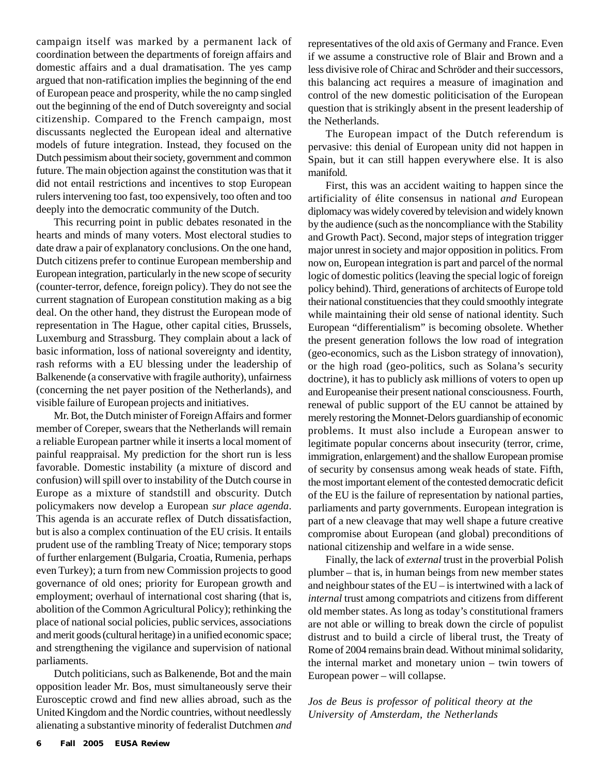campaign itself was marked by a permanent lack of coordination between the departments of foreign affairs and domestic affairs and a dual dramatisation. The yes camp argued that non-ratification implies the beginning of the end of European peace and prosperity, while the no camp singled out the beginning of the end of Dutch sovereignty and social citizenship. Compared to the French campaign, most discussants neglected the European ideal and alternative models of future integration. Instead, they focused on the Dutch pessimism about their society, government and common future. The main objection against the constitution was that it did not entail restrictions and incentives to stop European rulers intervening too fast, too expensively, too often and too deeply into the democratic community of the Dutch.

This recurring point in public debates resonated in the hearts and minds of many voters. Most electoral studies to date draw a pair of explanatory conclusions. On the one hand, Dutch citizens prefer to continue European membership and European integration, particularly in the new scope of security (counter-terror, defence, foreign policy). They do not see the current stagnation of European constitution making as a big deal. On the other hand, they distrust the European mode of representation in The Hague, other capital cities, Brussels, Luxemburg and Strassburg. They complain about a lack of basic information, loss of national sovereignty and identity, rash reforms with a EU blessing under the leadership of Balkenende (a conservative with fragile authority), unfairness (concerning the net payer position of the Netherlands), and visible failure of European projects and initiatives.

Mr. Bot, the Dutch minister of Foreign Affairs and former member of Coreper, swears that the Netherlands will remain a reliable European partner while it inserts a local moment of painful reappraisal. My prediction for the short run is less favorable. Domestic instability (a mixture of discord and confusion) will spill over to instability of the Dutch course in Europe as a mixture of standstill and obscurity. Dutch policymakers now develop a European *sur place agenda*. This agenda is an accurate reflex of Dutch dissatisfaction, but is also a complex continuation of the EU crisis. It entails prudent use of the rambling Treaty of Nice; temporary stops of further enlargement (Bulgaria, Croatia, Rumenia, perhaps even Turkey); a turn from new Commission projects to good governance of old ones; priority for European growth and employment; overhaul of international cost sharing (that is, abolition of the Common Agricultural Policy); rethinking the place of national social policies, public services, associations and merit goods (cultural heritage) in a unified economic space; and strengthening the vigilance and supervision of national parliaments.

Dutch politicians, such as Balkenende, Bot and the main opposition leader Mr. Bos, must simultaneously serve their Eurosceptic crowd and find new allies abroad, such as the United Kingdom and the Nordic countries, without needlessly alienating a substantive minority of federalist Dutchmen *and* representatives of the old axis of Germany and France. Even if we assume a constructive role of Blair and Brown and a less divisive role of Chirac and Schröder and their successors, this balancing act requires a measure of imagination and control of the new domestic politicisation of the European question that is strikingly absent in the present leadership of the Netherlands.

The European impact of the Dutch referendum is pervasive: this denial of European unity did not happen in Spain, but it can still happen everywhere else. It is also manifold.

First, this was an accident waiting to happen since the artificiality of élite consensus in national *and* European diplomacy was widely covered by television and widely known by the audience (such as the noncompliance with the Stability and Growth Pact). Second, major steps of integration trigger major unrest in society and major opposition in politics. From now on, European integration is part and parcel of the normal logic of domestic politics (leaving the special logic of foreign policy behind). Third, generations of architects of Europe told their national constituencies that they could smoothly integrate while maintaining their old sense of national identity. Such European "differentialism" is becoming obsolete. Whether the present generation follows the low road of integration (geo-economics, such as the Lisbon strategy of innovation), or the high road (geo-politics, such as Solana's security doctrine), it has to publicly ask millions of voters to open up and Europeanise their present national consciousness. Fourth, renewal of public support of the EU cannot be attained by merely restoring the Monnet-Delors guardianship of economic problems. It must also include a European answer to legitimate popular concerns about insecurity (terror, crime, immigration, enlargement) and the shallow European promise of security by consensus among weak heads of state. Fifth, the most important element of the contested democratic deficit of the EU is the failure of representation by national parties, parliaments and party governments. European integration is part of a new cleavage that may well shape a future creative compromise about European (and global) preconditions of national citizenship and welfare in a wide sense.

Finally, the lack of *external* trust in the proverbial Polish plumber – that is, in human beings from new member states and neighbour states of the EU – is intertwined with a lack of *internal* trust among compatriots and citizens from different old member states. As long as today's constitutional framers are not able or willing to break down the circle of populist distrust and to build a circle of liberal trust, the Treaty of Rome of 2004 remains brain dead. Without minimal solidarity, the internal market and monetary union – twin towers of European power – will collapse.

*Jos de Beus is professor of political theory at the University of Amsterdam, the Netherlands*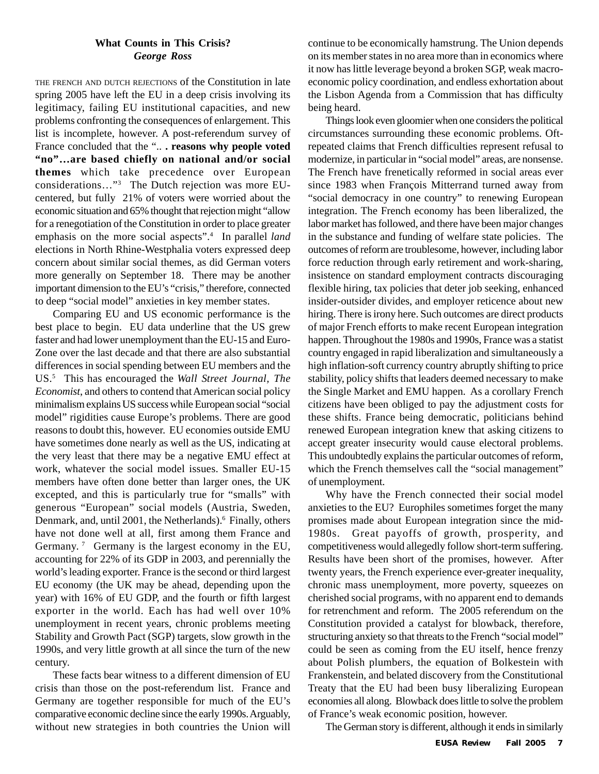### **What Counts in This Crisis?** *George Ross*

THE FRENCH AND DUTCH REJECTIONS of the Constitution in late spring 2005 have left the EU in a deep crisis involving its legitimacy, failing EU institutional capacities, and new problems confronting the consequences of enlargement. This list is incomplete, however. A post-referendum survey of France concluded that the "... **reasons why people voted "no"…are based chiefly on national and/or social themes** which take precedence over European considerations…"3 The Dutch rejection was more EUcentered, but fully 21% of voters were worried about the economic situation and 65% thought that rejection might "allow for a renegotiation of the Constitution in order to place greater emphasis on the more social aspects".4 In parallel *land* elections in North Rhine-Westphalia voters expressed deep concern about similar social themes, as did German voters more generally on September 18. There may be another important dimension to the EU's "crisis," therefore, connected to deep "social model" anxieties in key member states.

Comparing EU and US economic performance is the best place to begin. EU data underline that the US grew faster and had lower unemployment than the EU-15 and Euro-Zone over the last decade and that there are also substantial differences in social spending between EU members and the US.5 This has encouraged the *Wall Street Journal, The Economist*, and others to contend that American social policy minimalism explains US success while European social "social model" rigidities cause Europe's problems. There are good reasons to doubt this, however. EU economies outside EMU have sometimes done nearly as well as the US, indicating at the very least that there may be a negative EMU effect at work, whatever the social model issues. Smaller EU-15 members have often done better than larger ones, the UK excepted, and this is particularly true for "smalls" with generous "European" social models (Austria, Sweden, Denmark, and, until 2001, the Netherlands).<sup>6</sup> Finally, others have not done well at all, first among them France and Germany.<sup>7</sup> Germany is the largest economy in the EU, accounting for 22% of its GDP in 2003, and perennially the world's leading exporter. France is the second or third largest EU economy (the UK may be ahead, depending upon the year) with 16% of EU GDP, and the fourth or fifth largest exporter in the world. Each has had well over 10% unemployment in recent years, chronic problems meeting Stability and Growth Pact (SGP) targets, slow growth in the 1990s, and very little growth at all since the turn of the new century.

These facts bear witness to a different dimension of EU crisis than those on the post-referendum list. France and Germany are together responsible for much of the EU's comparative economic decline since the early 1990s. Arguably, without new strategies in both countries the Union will continue to be economically hamstrung. The Union depends on its member states in no area more than in economics where it now has little leverage beyond a broken SGP, weak macroeconomic policy coordination, and endless exhortation about the Lisbon Agenda from a Commission that has difficulty being heard.

Things look even gloomier when one considers the political circumstances surrounding these economic problems. Oftrepeated claims that French difficulties represent refusal to modernize, in particular in "social model" areas, are nonsense. The French have frenetically reformed in social areas ever since 1983 when François Mitterrand turned away from "social democracy in one country" to renewing European integration. The French economy has been liberalized, the labor market has followed, and there have been major changes in the substance and funding of welfare state policies. The outcomes of reform are troublesome, however, including labor force reduction through early retirement and work-sharing, insistence on standard employment contracts discouraging flexible hiring, tax policies that deter job seeking, enhanced insider-outsider divides, and employer reticence about new hiring. There is irony here. Such outcomes are direct products of major French efforts to make recent European integration happen. Throughout the 1980s and 1990s, France was a statist country engaged in rapid liberalization and simultaneously a high inflation-soft currency country abruptly shifting to price stability, policy shifts that leaders deemed necessary to make the Single Market and EMU happen. As a corollary French citizens have been obliged to pay the adjustment costs for these shifts. France being democratic, politicians behind renewed European integration knew that asking citizens to accept greater insecurity would cause electoral problems. This undoubtedly explains the particular outcomes of reform, which the French themselves call the "social management" of unemployment.

Why have the French connected their social model anxieties to the EU? Europhiles sometimes forget the many promises made about European integration since the mid-1980s. Great payoffs of growth, prosperity, and competitiveness would allegedly follow short-term suffering. Results have been short of the promises, however. After twenty years, the French experience ever-greater inequality, chronic mass unemployment, more poverty, squeezes on cherished social programs, with no apparent end to demands for retrenchment and reform. The 2005 referendum on the Constitution provided a catalyst for blowback, therefore, structuring anxiety so that threats to the French "social model" could be seen as coming from the EU itself, hence frenzy about Polish plumbers, the equation of Bolkestein with Frankenstein, and belated discovery from the Constitutional Treaty that the EU had been busy liberalizing European economies all along. Blowback does little to solve the problem of France's weak economic position, however.

The German story is different, although it ends in similarly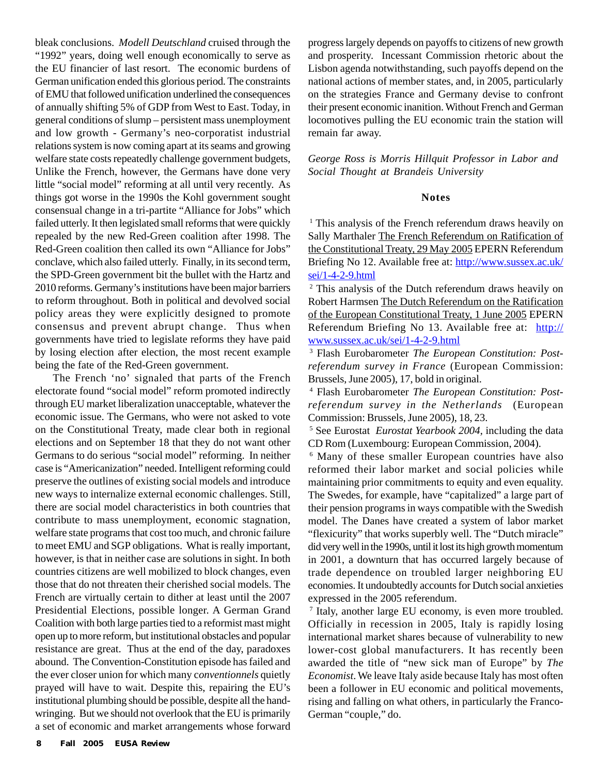bleak conclusions. *Modell Deutschland* cruised through the "1992" years, doing well enough economically to serve as the EU financier of last resort. The economic burdens of German unification ended this glorious period. The constraints of EMU that followed unification underlined the consequences of annually shifting 5% of GDP from West to East. Today, in general conditions of slump – persistent mass unemployment and low growth - Germany's neo-corporatist industrial relations system is now coming apart at its seams and growing welfare state costs repeatedly challenge government budgets, Unlike the French, however, the Germans have done very little "social model" reforming at all until very recently. As things got worse in the 1990s the Kohl government sought consensual change in a tri-partite "Alliance for Jobs" which failed utterly. It then legislated small reforms that were quickly repealed by the new Red-Green coalition after 1998. The Red-Green coalition then called its own "Alliance for Jobs" conclave, which also failed utterly. Finally, in its second term, the SPD-Green government bit the bullet with the Hartz and 2010 reforms. Germany's institutions have been major barriers to reform throughout. Both in political and devolved social policy areas they were explicitly designed to promote consensus and prevent abrupt change. Thus when governments have tried to legislate reforms they have paid by losing election after election, the most recent example being the fate of the Red-Green government.

The French 'no' signaled that parts of the French electorate found "social model" reform promoted indirectly through EU market liberalization unacceptable, whatever the economic issue. The Germans, who were not asked to vote on the Constitutional Treaty, made clear both in regional elections and on September 18 that they do not want other Germans to do serious "social model" reforming. In neither case is "Americanization" needed. Intelligent reforming could preserve the outlines of existing social models and introduce new ways to internalize external economic challenges. Still, there are social model characteristics in both countries that contribute to mass unemployment, economic stagnation, welfare state programs that cost too much, and chronic failure to meet EMU and SGP obligations. What is really important, however, is that in neither case are solutions in sight. In both countries citizens are well mobilized to block changes, even those that do not threaten their cherished social models. The French are virtually certain to dither at least until the 2007 Presidential Elections, possible longer. A German Grand Coalition with both large parties tied to a reformist mast might open up to more reform, but institutional obstacles and popular resistance are great. Thus at the end of the day, paradoxes abound. The Convention-Constitution episode has failed and the ever closer union for which many c*onventionnels* quietly prayed will have to wait. Despite this, repairing the EU's institutional plumbing should be possible, despite all the handwringing. But we should not overlook that the EU is primarily a set of economic and market arrangements whose forward

progress largely depends on payoffs to citizens of new growth and prosperity. Incessant Commission rhetoric about the Lisbon agenda notwithstanding, such payoffs depend on the national actions of member states, and, in 2005, particularly on the strategies France and Germany devise to confront their present economic inanition. Without French and German locomotives pulling the EU economic train the station will remain far away.

*George Ross is Morris Hillquit Professor in Labor and Social Thought at Brandeis University*

#### **Notes**

<sup>1</sup> This analysis of the French referendum draws heavily on Sally Marthaler The French Referendum on Ratification of the Constitutional Treaty, 29 May 2005 EPERN Referendum Briefing No 12. Available free at: http://www.sussex.ac.uk/ sei/1-4-2-9.html

2 This analysis of the Dutch referendum draws heavily on Robert Harmsen The Dutch Referendum on the Ratification of the European Constitutional Treaty, 1 June 2005 EPERN Referendum Briefing No 13. Available free at: http:// www.sussex.ac.uk/sei/1-4-2-9.html

3 Flash Eurobarometer *The European Constitution: Postreferendum survey in France* (European Commission: Brussels, June 2005), 17, bold in original.

4 Flash Eurobarometer *The European Constitution: Postreferendum survey in the Netherlands* (European Commission: Brussels, June 2005), 18, 23.

5 See Eurostat *Eurostat Yearbook 2004,* including the data CD Rom (Luxembourg: European Commission, 2004).

6 Many of these smaller European countries have also reformed their labor market and social policies while maintaining prior commitments to equity and even equality. The Swedes, for example, have "capitalized" a large part of their pension programs in ways compatible with the Swedish model. The Danes have created a system of labor market "flexicurity" that works superbly well. The "Dutch miracle" did very well in the 1990s, until it lost its high growth momentum in 2001, a downturn that has occurred largely because of trade dependence on troubled larger neighboring EU economies. It undoubtedly accounts for Dutch social anxieties expressed in the 2005 referendum.

7 Italy, another large EU economy, is even more troubled. Officially in recession in 2005, Italy is rapidly losing international market shares because of vulnerability to new lower-cost global manufacturers. It has recently been awarded the title of "new sick man of Europe" by *The Economist*. We leave Italy aside because Italy has most often been a follower in EU economic and political movements, rising and falling on what others, in particularly the Franco-German "couple," do.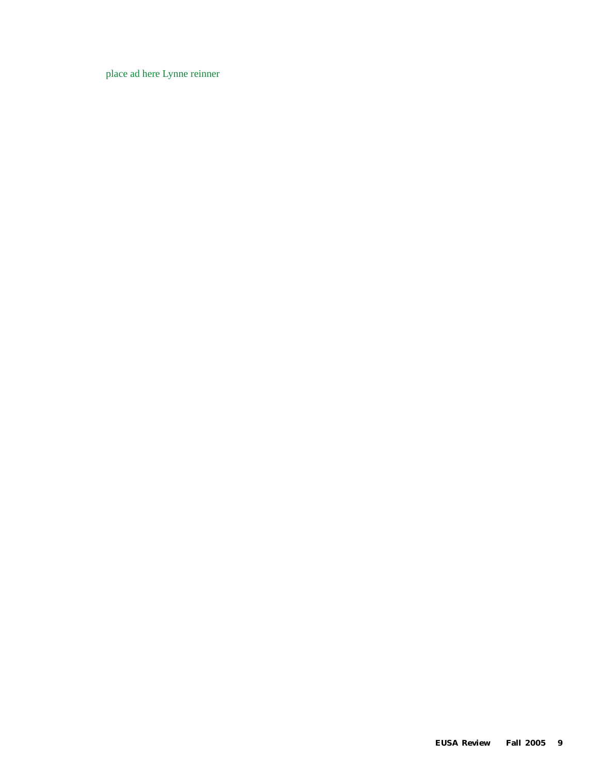place ad here Lynne reinner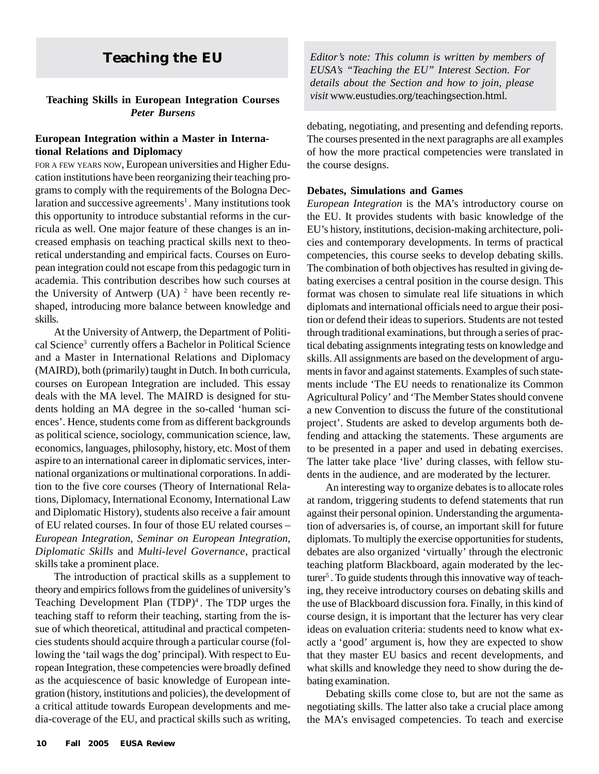#### **Teaching Skills in European Integration Courses** *Peter Bursens*

#### **European Integration within a Master in International Relations and Diplomacy**

FOR A FEW YEARS NOW, European universities and Higher Education institutions have been reorganizing their teaching programs to comply with the requirements of the Bologna Declaration and successive agreements<sup>1</sup>. Many institutions took this opportunity to introduce substantial reforms in the curricula as well. One major feature of these changes is an increased emphasis on teaching practical skills next to theoretical understanding and empirical facts. Courses on European integration could not escape from this pedagogic turn in academia. This contribution describes how such courses at the University of Antwerp (UA)  $^2$  have been recently reshaped, introducing more balance between knowledge and skills.

At the University of Antwerp, the Department of Political Science<sup>3</sup> currently offers a Bachelor in Political Science and a Master in International Relations and Diplomacy (MAIRD), both (primarily) taught in Dutch. In both curricula, courses on European Integration are included. This essay deals with the MA level. The MAIRD is designed for students holding an MA degree in the so-called 'human sciences'. Hence, students come from as different backgrounds as political science, sociology, communication science, law, economics, languages, philosophy, history, etc. Most of them aspire to an international career in diplomatic services, international organizations or multinational corporations. In addition to the five core courses (Theory of International Relations, Diplomacy, International Economy, International Law and Diplomatic History), students also receive a fair amount of EU related courses. In four of those EU related courses – *European Integration*, *Seminar on European Integration*, *Diplomatic Skills* and *Multi-level Governance*, practical skills take a prominent place.

The introduction of practical skills as a supplement to theory and empirics follows from the guidelines of university's Teaching Development Plan  $(TDP)^4$ . The TDP urges the teaching staff to reform their teaching, starting from the issue of which theoretical, attitudinal and practical competencies students should acquire through a particular course (following the 'tail wags the dog' principal). With respect to European Integration, these competencies were broadly defined as the acquiescence of basic knowledge of European integration (history, institutions and policies), the development of a critical attitude towards European developments and media-coverage of the EU, and practical skills such as writing,

**Teaching the EU** *Editor's note: This column is written by members of EUSA's "Teaching the EU" Interest Section. For details about the Section and how to join, please visit* www.eustudies.org/teachingsection.html*.*

> debating, negotiating, and presenting and defending reports. The courses presented in the next paragraphs are all examples of how the more practical competencies were translated in the course designs.

#### **Debates, Simulations and Games**

*European Integration* is the MA's introductory course on the EU. It provides students with basic knowledge of the EU's history, institutions, decision-making architecture, policies and contemporary developments. In terms of practical competencies, this course seeks to develop debating skills. The combination of both objectives has resulted in giving debating exercises a central position in the course design. This format was chosen to simulate real life situations in which diplomats and international officials need to argue their position or defend their ideas to superiors. Students are not tested through traditional examinations, but through a series of practical debating assignments integrating tests on knowledge and skills. All assignments are based on the development of arguments in favor and against statements. Examples of such statements include 'The EU needs to renationalize its Common Agricultural Policy' and 'The Member States should convene a new Convention to discuss the future of the constitutional project'. Students are asked to develop arguments both defending and attacking the statements. These arguments are to be presented in a paper and used in debating exercises. The latter take place 'live' during classes, with fellow students in the audience, and are moderated by the lecturer.

An interesting way to organize debates is to allocate roles at random, triggering students to defend statements that run against their personal opinion. Understanding the argumentation of adversaries is, of course, an important skill for future diplomats. To multiply the exercise opportunities for students, debates are also organized 'virtually' through the electronic teaching platform Blackboard, again moderated by the lecturer<sup>5</sup>. To guide students through this innovative way of teaching, they receive introductory courses on debating skills and the use of Blackboard discussion fora. Finally, in this kind of course design, it is important that the lecturer has very clear ideas on evaluation criteria: students need to know what exactly a 'good' argument is, how they are expected to show that they master EU basics and recent developments, and what skills and knowledge they need to show during the debating examination.

Debating skills come close to, but are not the same as negotiating skills. The latter also take a crucial place among the MA's envisaged competencies. To teach and exercise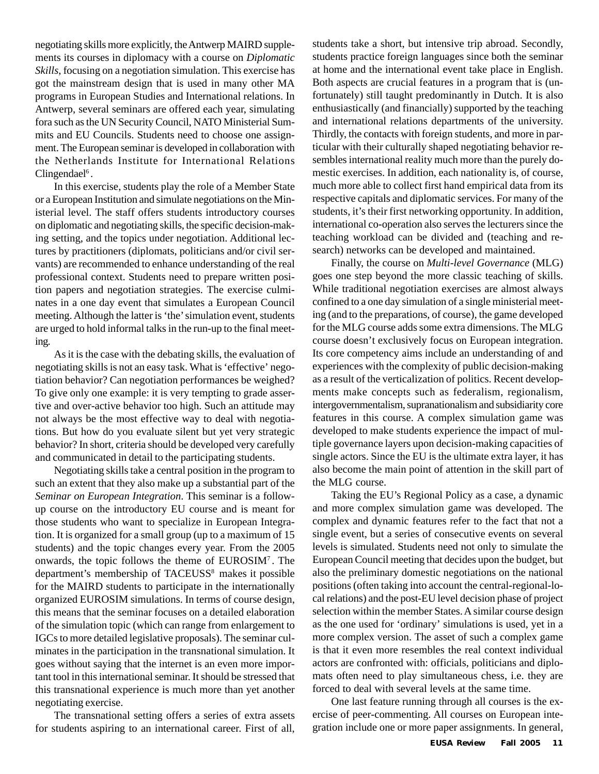negotiating skills more explicitly, the Antwerp MAIRD supplements its courses in diplomacy with a course on *Diplomatic Skills*, focusing on a negotiation simulation. This exercise has got the mainstream design that is used in many other MA programs in European Studies and International relations. In Antwerp, several seminars are offered each year, simulating fora such as the UN Security Council, NATO Ministerial Summits and EU Councils. Students need to choose one assignment. The European seminar is developed in collaboration with the Netherlands Institute for International Relations Clingendael<sup>6</sup>.

In this exercise, students play the role of a Member State or a European Institution and simulate negotiations on the Ministerial level. The staff offers students introductory courses on diplomatic and negotiating skills, the specific decision-making setting, and the topics under negotiation. Additional lectures by practitioners (diplomats, politicians and/or civil servants) are recommended to enhance understanding of the real professional context. Students need to prepare written position papers and negotiation strategies. The exercise culminates in a one day event that simulates a European Council meeting. Although the latter is 'the' simulation event, students are urged to hold informal talks in the run-up to the final meeting.

As it is the case with the debating skills, the evaluation of negotiating skills is not an easy task. What is 'effective' negotiation behavior? Can negotiation performances be weighed? To give only one example: it is very tempting to grade assertive and over-active behavior too high. Such an attitude may not always be the most effective way to deal with negotiations. But how do you evaluate silent but yet very strategic behavior? In short, criteria should be developed very carefully and communicated in detail to the participating students.

Negotiating skills take a central position in the program to such an extent that they also make up a substantial part of the *Seminar on European Integration*. This seminar is a followup course on the introductory EU course and is meant for those students who want to specialize in European Integration. It is organized for a small group (up to a maximum of 15 students) and the topic changes every year. From the 2005 onwards, the topic follows the theme of EUROSIM7 . The department's membership of TACEUSS<sup>8</sup> makes it possible for the MAIRD students to participate in the internationally organized EUROSIM simulations. In terms of course design, this means that the seminar focuses on a detailed elaboration of the simulation topic (which can range from enlargement to IGCs to more detailed legislative proposals). The seminar culminates in the participation in the transnational simulation. It goes without saying that the internet is an even more important tool in this international seminar. It should be stressed that this transnational experience is much more than yet another negotiating exercise.

The transnational setting offers a series of extra assets for students aspiring to an international career. First of all, students take a short, but intensive trip abroad. Secondly, students practice foreign languages since both the seminar at home and the international event take place in English. Both aspects are crucial features in a program that is (unfortunately) still taught predominantly in Dutch. It is also enthusiastically (and financially) supported by the teaching and international relations departments of the university. Thirdly, the contacts with foreign students, and more in particular with their culturally shaped negotiating behavior resembles international reality much more than the purely domestic exercises. In addition, each nationality is, of course, much more able to collect first hand empirical data from its respective capitals and diplomatic services. For many of the students, it's their first networking opportunity. In addition, international co-operation also serves the lecturers since the teaching workload can be divided and (teaching and research) networks can be developed and maintained.

Finally, the course on *Multi-level Governance* (MLG) goes one step beyond the more classic teaching of skills. While traditional negotiation exercises are almost always confined to a one day simulation of a single ministerial meeting (and to the preparations, of course), the game developed for the MLG course adds some extra dimensions. The MLG course doesn't exclusively focus on European integration. Its core competency aims include an understanding of and experiences with the complexity of public decision-making as a result of the verticalization of politics. Recent developments make concepts such as federalism, regionalism, intergovernmentalism, supranationalism and subsidiarity core features in this course. A complex simulation game was developed to make students experience the impact of multiple governance layers upon decision-making capacities of single actors. Since the EU is the ultimate extra layer, it has also become the main point of attention in the skill part of the MLG course.

Taking the EU's Regional Policy as a case, a dynamic and more complex simulation game was developed. The complex and dynamic features refer to the fact that not a single event, but a series of consecutive events on several levels is simulated. Students need not only to simulate the European Council meeting that decides upon the budget, but also the preliminary domestic negotiations on the national positions (often taking into account the central-regional-local relations) and the post-EU level decision phase of project selection within the member States. A similar course design as the one used for 'ordinary' simulations is used, yet in a more complex version. The asset of such a complex game is that it even more resembles the real context individual actors are confronted with: officials, politicians and diplomats often need to play simultaneous chess, i.e. they are forced to deal with several levels at the same time.

One last feature running through all courses is the exercise of peer-commenting. All courses on European integration include one or more paper assignments. In general,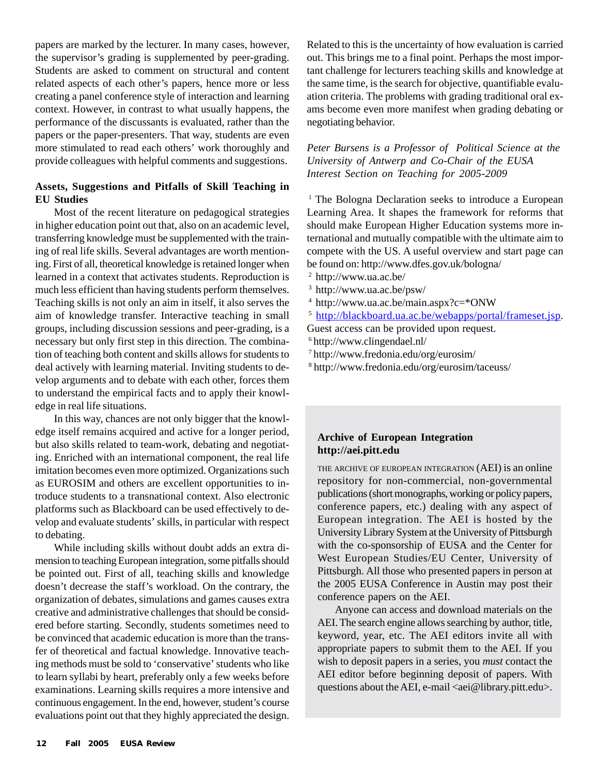papers are marked by the lecturer. In many cases, however, the supervisor's grading is supplemented by peer-grading. Students are asked to comment on structural and content related aspects of each other's papers, hence more or less creating a panel conference style of interaction and learning context. However, in contrast to what usually happens, the performance of the discussants is evaluated, rather than the papers or the paper-presenters. That way, students are even more stimulated to read each others' work thoroughly and provide colleagues with helpful comments and suggestions.

## **Assets, Suggestions and Pitfalls of Skill Teaching in EU Studies**

Most of the recent literature on pedagogical strategies in higher education point out that, also on an academic level, transferring knowledge must be supplemented with the training of real life skills. Several advantages are worth mentioning. First of all, theoretical knowledge is retained longer when learned in a context that activates students. Reproduction is much less efficient than having students perform themselves. Teaching skills is not only an aim in itself, it also serves the aim of knowledge transfer. Interactive teaching in small groups, including discussion sessions and peer-grading, is a necessary but only first step in this direction. The combination of teaching both content and skills allows for students to deal actively with learning material. Inviting students to develop arguments and to debate with each other, forces them to understand the empirical facts and to apply their knowledge in real life situations.

In this way, chances are not only bigger that the knowledge itself remains acquired and active for a longer period, but also skills related to team-work, debating and negotiating. Enriched with an international component, the real life imitation becomes even more optimized. Organizations such as EUROSIM and others are excellent opportunities to introduce students to a transnational context. Also electronic platforms such as Blackboard can be used effectively to develop and evaluate students' skills, in particular with respect to debating.

While including skills without doubt adds an extra dimension to teaching European integration, some pitfalls should be pointed out. First of all, teaching skills and knowledge doesn't decrease the staff's workload. On the contrary, the organization of debates, simulations and games causes extra creative and administrative challenges that should be considered before starting. Secondly, students sometimes need to be convinced that academic education is more than the transfer of theoretical and factual knowledge. Innovative teaching methods must be sold to 'conservative' students who like to learn syllabi by heart, preferably only a few weeks before examinations. Learning skills requires a more intensive and continuous engagement. In the end, however, student's course evaluations point out that they highly appreciated the design. Related to this is the uncertainty of how evaluation is carried out. This brings me to a final point. Perhaps the most important challenge for lecturers teaching skills and knowledge at the same time, is the search for objective, quantifiable evaluation criteria. The problems with grading traditional oral exams become even more manifest when grading debating or negotiating behavior.

*Peter Bursens is a Professor of Political Science at the University of Antwerp and Co-Chair of the EUSA Interest Section on Teaching for 2005-2009*

<sup>1</sup> The Bologna Declaration seeks to introduce a European Learning Area. It shapes the framework for reforms that should make European Higher Education systems more international and mutually compatible with the ultimate aim to compete with the US. A useful overview and start page can be found on: http://www.dfes.gov.uk/bologna/

2 http://www.ua.ac.be/

- 3 http://www.ua.ac.be/psw/
- 4 http://www.ua.ac.be/main.aspx?c=\*ONW
- <sup>5</sup> http://blackboard.ua.ac.be/webapps/portal/frameset.jsp.

Guest access can be provided upon request.

- 6 http://www.clingendael.nl/
- 7 http://www.fredonia.edu/org/eurosim/
- 8 http://www.fredonia.edu/org/eurosim/taceuss/

### **Archive of European Integration http://aei.pitt.edu**

THE ARCHIVE OF EUROPEAN INTEGRATION (AEI) is an online repository for non-commercial, non-governmental publications (short monographs, working or policy papers, conference papers, etc.) dealing with any aspect of European integration. The AEI is hosted by the University Library System at the University of Pittsburgh with the co-sponsorship of EUSA and the Center for West European Studies/EU Center, University of Pittsburgh. All those who presented papers in person at the 2005 EUSA Conference in Austin may post their conference papers on the AEI.

Anyone can access and download materials on the AEI. The search engine allows searching by author, title, keyword, year, etc. The AEI editors invite all with appropriate papers to submit them to the AEI. If you wish to deposit papers in a series, you *must* contact the AEI editor before beginning deposit of papers. With questions about the AEI, e-mail <aei@library.pitt.edu>.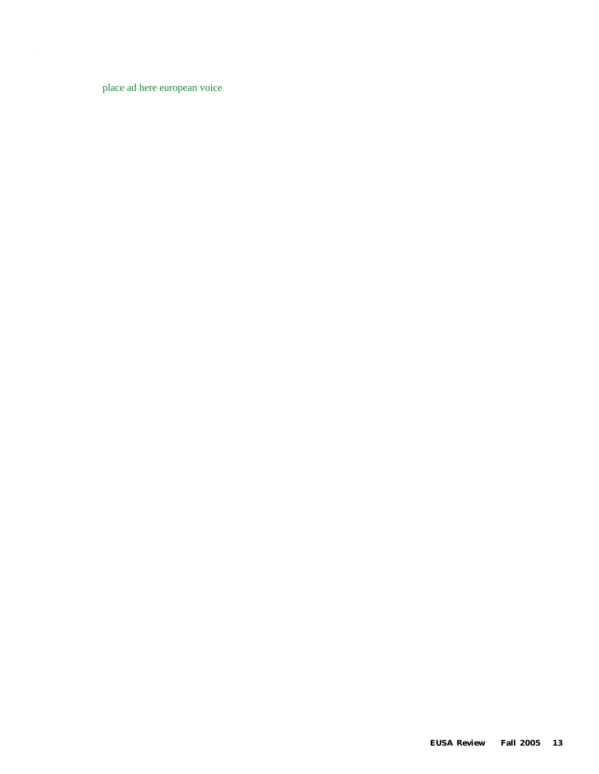place ad here european voice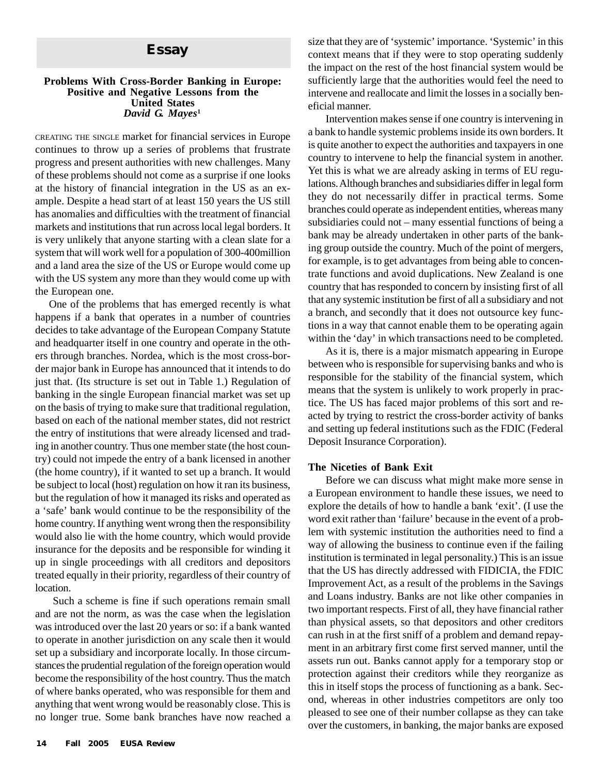#### **Problems With Cross-Border Banking in Europe: Positive and Negative Lessons from the United States** *David G. Mayes***<sup>1</sup>**

CREATING THE SINGLE market for financial services in Europe continues to throw up a series of problems that frustrate progress and present authorities with new challenges. Many of these problems should not come as a surprise if one looks at the history of financial integration in the US as an example. Despite a head start of at least 150 years the US still has anomalies and difficulties with the treatment of financial markets and institutions that run across local legal borders. It is very unlikely that anyone starting with a clean slate for a system that will work well for a population of 300-400million and a land area the size of the US or Europe would come up with the US system any more than they would come up with the European one.

One of the problems that has emerged recently is what happens if a bank that operates in a number of countries decides to take advantage of the European Company Statute and headquarter itself in one country and operate in the others through branches. Nordea, which is the most cross-border major bank in Europe has announced that it intends to do just that. (Its structure is set out in Table 1.) Regulation of banking in the single European financial market was set up on the basis of trying to make sure that traditional regulation, based on each of the national member states, did not restrict the entry of institutions that were already licensed and trading in another country. Thus one member state (the host country) could not impede the entry of a bank licensed in another (the home country), if it wanted to set up a branch. It would be subject to local (host) regulation on how it ran its business, but the regulation of how it managed its risks and operated as a 'safe' bank would continue to be the responsibility of the home country. If anything went wrong then the responsibility would also lie with the home country, which would provide insurance for the deposits and be responsible for winding it up in single proceedings with all creditors and depositors treated equally in their priority, regardless of their country of location.

Such a scheme is fine if such operations remain small and are not the norm, as was the case when the legislation was introduced over the last 20 years or so: if a bank wanted to operate in another jurisdiction on any scale then it would set up a subsidiary and incorporate locally. In those circumstances the prudential regulation of the foreign operation would become the responsibility of the host country. Thus the match of where banks operated, who was responsible for them and anything that went wrong would be reasonably close. This is no longer true. Some bank branches have now reached a

**Essay** size that they are of 'systemic' importance. 'Systemic' in this context means that if they were to stop operating suddenly context means that if they were to stop operating suddenly the impact on the rest of the host financial system would be sufficiently large that the authorities would feel the need to intervene and reallocate and limit the losses in a socially beneficial manner.

> Intervention makes sense if one country is intervening in a bank to handle systemic problems inside its own borders. It is quite another to expect the authorities and taxpayers in one country to intervene to help the financial system in another. Yet this is what we are already asking in terms of EU regulations. Although branches and subsidiaries differ in legal form they do not necessarily differ in practical terms. Some branches could operate as independent entities, whereas many subsidiaries could not – many essential functions of being a bank may be already undertaken in other parts of the banking group outside the country. Much of the point of mergers, for example, is to get advantages from being able to concentrate functions and avoid duplications. New Zealand is one country that has responded to concern by insisting first of all that any systemic institution be first of all a subsidiary and not a branch, and secondly that it does not outsource key functions in a way that cannot enable them to be operating again within the 'day' in which transactions need to be completed.

> As it is, there is a major mismatch appearing in Europe between who is responsible for supervising banks and who is responsible for the stability of the financial system, which means that the system is unlikely to work properly in practice. The US has faced major problems of this sort and reacted by trying to restrict the cross-border activity of banks and setting up federal institutions such as the FDIC (Federal Deposit Insurance Corporation).

#### **The Niceties of Bank Exit**

Before we can discuss what might make more sense in a European environment to handle these issues, we need to explore the details of how to handle a bank 'exit'. (I use the word exit rather than 'failure' because in the event of a problem with systemic institution the authorities need to find a way of allowing the business to continue even if the failing institution is terminated in legal personality.) This is an issue that the US has directly addressed with FIDICIA, the FDIC Improvement Act, as a result of the problems in the Savings and Loans industry. Banks are not like other companies in two important respects. First of all, they have financial rather than physical assets, so that depositors and other creditors can rush in at the first sniff of a problem and demand repayment in an arbitrary first come first served manner, until the assets run out. Banks cannot apply for a temporary stop or protection against their creditors while they reorganize as this in itself stops the process of functioning as a bank. Second, whereas in other industries competitors are only too pleased to see one of their number collapse as they can take over the customers, in banking, the major banks are exposed